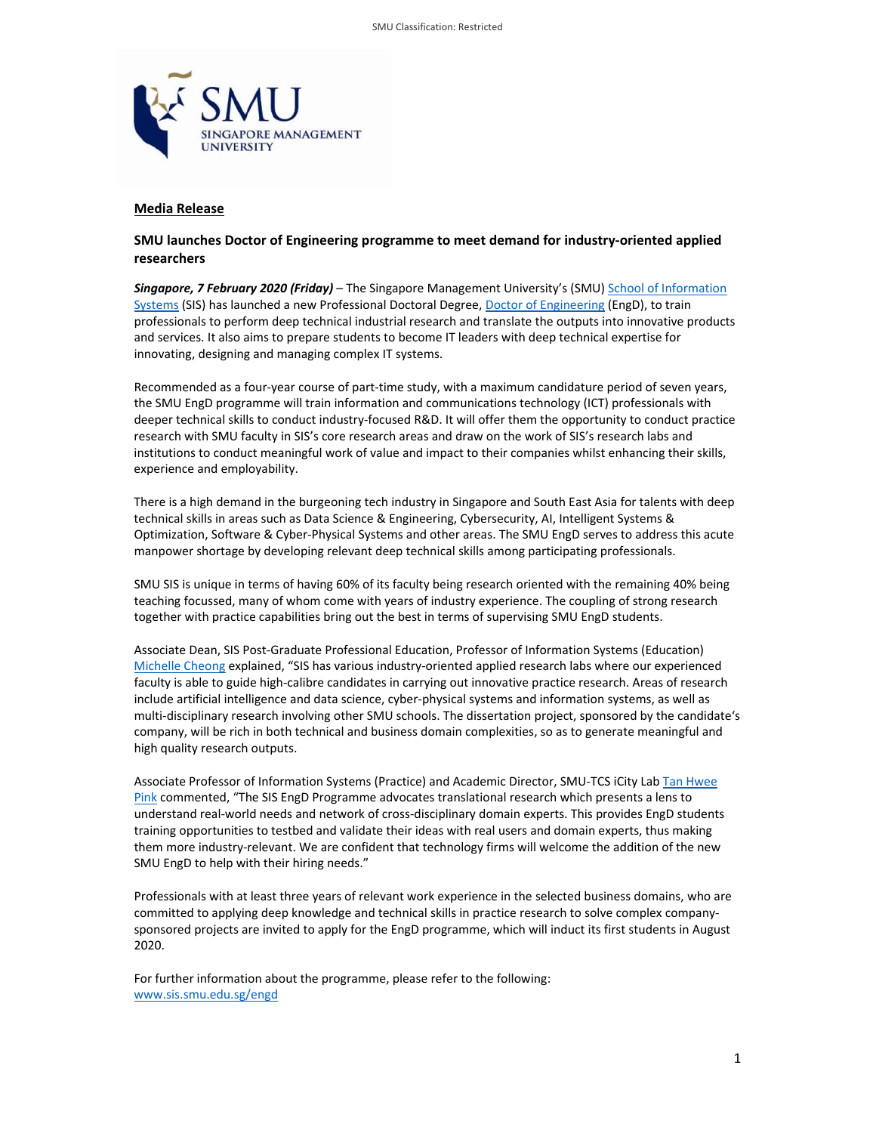

# **Media Release**

# **SMU launches Doctor of Engineering programme to meet demand for industry‐oriented applied researchers**

*Singapore, 7 February 2020 (Friday)* – The Singapore Management University's (SMU) School of Information Systems (SIS) has launched a new Professional Doctoral Degree, Doctor of Engineering (EngD), to train professionals to perform deep technical industrial research and translate the outputs into innovative products and services. It also aims to prepare students to become IT leaders with deep technical expertise for innovating, designing and managing complex IT systems.

Recommended as a four-year course of part-time study, with a maximum candidature period of seven years, the SMU EngD programme will train information and communications technology (ICT) professionals with deeper technical skills to conduct industry‐focused R&D. It will offer them the opportunity to conduct practice research with SMU faculty in SIS's core research areas and draw on the work of SIS's research labs and institutions to conduct meaningful work of value and impact to their companies whilst enhancing their skills, experience and employability.

There is a high demand in the burgeoning tech industry in Singapore and South East Asia for talents with deep technical skills in areas such as Data Science & Engineering, Cybersecurity, AI, Intelligent Systems & Optimization, Software & Cyber‐Physical Systems and other areas. The SMU EngD serves to address this acute manpower shortage by developing relevant deep technical skills among participating professionals.

SMU SIS is unique in terms of having 60% of its faculty being research oriented with the remaining 40% being teaching focussed, many of whom come with years of industry experience. The coupling of strong research together with practice capabilities bring out the best in terms of supervising SMU EngD students.

Associate Dean, SIS Post‐Graduate Professional Education, Professor of Information Systems (Education) Michelle Cheong explained, "SIS has various industry‐oriented applied research labs where our experienced faculty is able to guide high‐calibre candidates in carrying out innovative practice research. Areas of research include artificial intelligence and data science, cyber-physical systems and information systems, as well as multi-disciplinary research involving other SMU schools. The dissertation project, sponsored by the candidate's company, will be rich in both technical and business domain complexities, so as to generate meaningful and high quality research outputs.

Associate Professor of Information Systems (Practice) and Academic Director, SMU‐TCS iCity Lab Tan Hwee Pink commented, "The SIS EngD Programme advocates translational research which presents a lens to understand real‐world needs and network of cross‐disciplinary domain experts. This provides EngD students training opportunities to testbed and validate their ideas with real users and domain experts, thus making them more industry‐relevant. We are confident that technology firms will welcome the addition of the new SMU EngD to help with their hiring needs."

Professionals with at least three years of relevant work experience in the selected business domains, who are committed to applying deep knowledge and technical skills in practice research to solve complex companysponsored projects are invited to apply for the EngD programme, which will induct its first students in August 2020.

For further information about the programme, please refer to the following: www.sis.smu.edu.sg/engd